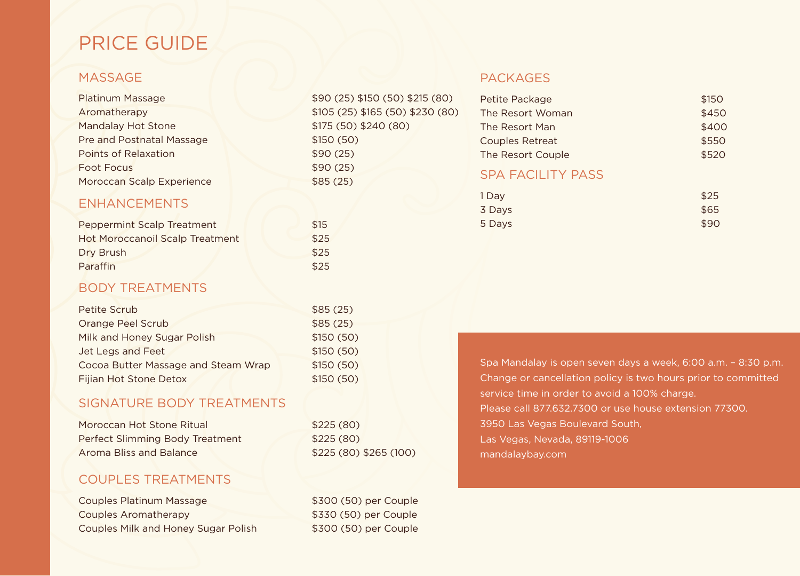# PRICE GUIDE

#### **MASSAGE**

| Platinum Massage          |  |
|---------------------------|--|
| Aromatherapy              |  |
| Mandalay Hot Stone        |  |
| Pre and Postnatal Massage |  |
| Points of Relaxation      |  |
| <b>Foot Focus</b>         |  |
| Moroccan Scalp Experience |  |

#### **ENHANCEMENTS**

| <b>Peppermint Scalp Treatment</b>      | \$15 |
|----------------------------------------|------|
| <b>Hot Moroccanoil Scalp Treatment</b> | \$25 |
| Dry Brush                              | \$25 |
| Paraffin                               | \$25 |

#### Body Treatments

| Petite Scrub                        | \$85(25)  |
|-------------------------------------|-----------|
| Orange Peel Scrub                   | \$85(25)  |
| Milk and Honey Sugar Polish         | \$150(50) |
| Jet Legs and Feet                   | \$150(50) |
| Cocoa Butter Massage and Steam Wrap | \$150(50) |
| Fijian Hot Stone Detox              | \$150(50) |

### SIGNATURE Body Treatments

| Moroccan Hot Stone Ritual       | \$225(80)              |
|---------------------------------|------------------------|
| Perfect Slimming Body Treatment | \$225(80)              |
| Aroma Bliss and Balance         | \$225 (80) \$265 (100) |

## couples treatments

| Couples Platinum Massage            | \$300 (50) per Couple |
|-------------------------------------|-----------------------|
| Couples Aromatherapy                | \$330 (50) per Couple |
| Couples Milk and Honey Sugar Polish | \$300 (50) per Couple |

**PACKAGES** 

 $$90 (25) $150 (50) $215 (80)$ \$105 (25) \$165 (50) \$230 (80) \$175 (50) \$240 (80)

 $$150(50)$  $$90(25)$  $$90(25)$  $$85 (25)$ 

| Petite Package           | \$150 |
|--------------------------|-------|
| The Resort Woman         | \$450 |
| The Resort Man           | \$400 |
| <b>Couples Retreat</b>   | \$550 |
| The Resort Couple        | \$520 |
| <b>SPA FACILITY PASS</b> |       |
| 1 Day                    | \$25  |
| 3 Days                   | \$65  |
| 5 Davs                   | \$90  |

Spa Mandalay is open seven days a week, 6:00 a.m. – 8:30 p.m. Change or cancellation policy is two hours prior to committed service time in order to avoid a 100% charge. Please call 877.632.7300 or use house extension 77300. 3950 Las Vegas Boulevard South, Las Vegas, Nevada, 89119-1006 mandalaybay.com